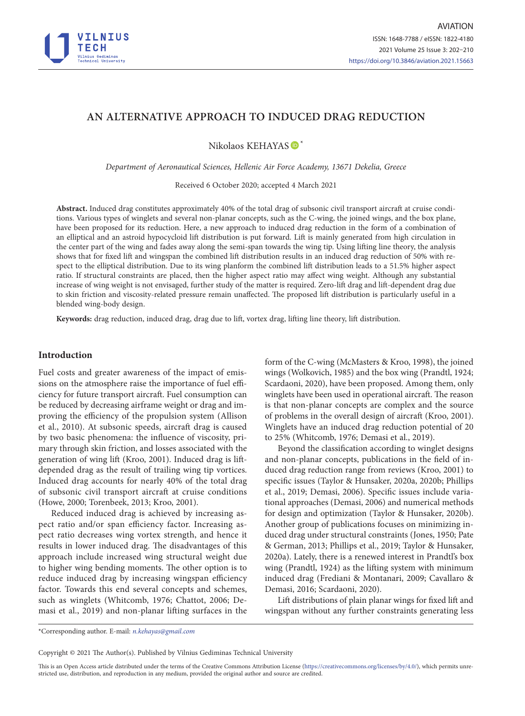

# **AN ALTERNATIVE APPROACH TO INDUCED DRAG REDUCTION**

Nikolaos KEHAYAS  $\mathbf{D}^*$ 

*Department of Aeronautical Sciences, Hellenic Air Force Academy, 13671 Dekelia, Greece*

Received 6 October 2020; accepted 4 March 2021

**Abstract.** Induced drag constitutes approximately 40% of the total drag of subsonic civil transport aircraft at cruise conditions. Various types of winglets and several non-planar concepts, such as the C-wing, the joined wings, and the box plane, have been proposed for its reduction. Here, a new approach to induced drag reduction in the form of a combination of an elliptical and an astroid hypocycloid lift distribution is put forward. Lift is mainly generated from high circulation in the center part of the wing and fades away along the semi-span towards the wing tip. Using lifting line theory, the analysis shows that for fixed lift and wingspan the combined lift distribution results in an induced drag reduction of 50% with respect to the elliptical distribution. Due to its wing planform the combined lift distribution leads to a 51.5% higher aspect ratio. If structural constraints are placed, then the higher aspect ratio may affect wing weight. Although any substantial increase of wing weight is not envisaged, further study of the matter is required. Zero-lift drag and lift-dependent drag due to skin friction and viscosity-related pressure remain unaffected. The proposed lift distribution is particularly useful in a blended wing-body design.

**Keywords:** drag reduction, induced drag, drag due to lift, vortex drag, lifting line theory, lift distribution.

### **Introduction**

Fuel costs and greater awareness of the impact of emissions on the atmosphere raise the importance of fuel efficiency for future transport aircraft. Fuel consumption can be reduced by decreasing airframe weight or drag and improving the efficiency of the propulsion system (Allison et al., 2010). At subsonic speeds, aircraft drag is caused by two basic phenomena: the influence of viscosity, primary through skin friction, and losses associated with the generation of wing lift (Kroo, 2001). Induced drag is liftdepended drag as the result of trailing wing tip vortices. Induced drag accounts for nearly 40% of the total drag of subsonic civil transport aircraft at cruise conditions (Howe, 2000; Torenbeek, 2013; Kroo, 2001).

Reduced induced drag is achieved by increasing aspect ratio and/or span efficiency factor. Increasing aspect ratio decreases wing vortex strength, and hence it results in lower induced drag. The disadvantages of this approach include increased wing structural weight due to higher wing bending moments. The other option is to reduce induced drag by increasing wingspan efficiency factor. Towards this end several concepts and schemes, such as winglets (Whitcomb, 1976; Chattot, 2006; Demasi et al., 2019) and non-planar lifting surfaces in the

form of the C-wing (McMasters & Kroo, 1998), the joined wings (Wolkovich, 1985) and the box wing (Prandtl, 1924; Scardaoni, 2020), have been proposed. Among them, only winglets have been used in operational aircraft. The reason is that non-planar concepts are complex and the source of problems in the overall design of aircraft (Kroo, 2001). Winglets have an induced drag reduction potential of 20 to 25% (Whitcomb, 1976; Demasi et al., 2019).

Beyond the classification according to winglet designs and non-planar concepts, publications in the field of induced drag reduction range from reviews (Kroo, 2001) to specific issues (Taylor & Hunsaker, 2020a, 2020b; Phillips et al., 2019; Demasi, 2006). Specific issues include variational approaches (Demasi, 2006) and numerical methods for design and optimization (Taylor & Hunsaker, 2020b). Another group of publications focuses on minimizing induced drag under structural constraints (Jones, 1950; Pate & German, 2013; Phillips et al., 2019; Taylor & Hunsaker, 2020a). Lately, there is a renewed interest in Prandtl's box wing (Prandtl, 1924) as the lifting system with minimum induced drag (Frediani & Montanari, 2009; Cavallaro & Demasi, 2016; Scardaoni, 2020).

Lift distributions of plain planar wings for fixed lift and wingspan without any further constraints generating less

\*Corresponding author. E-mail: *n.kehayas@gmail.com*

Copyright © 2021 The Author(s). Published by Vilnius Gediminas Technical University

This is an Open Access article distributed under the terms of the Creative Commons Attribution License [\(https://creativecommons.org/licenses/by/4.0/\)](http://creativecommons.org/licenses/by/4.0/), which permits unrestricted use, distribution, and reproduction in any medium, provided the original author and source are credited.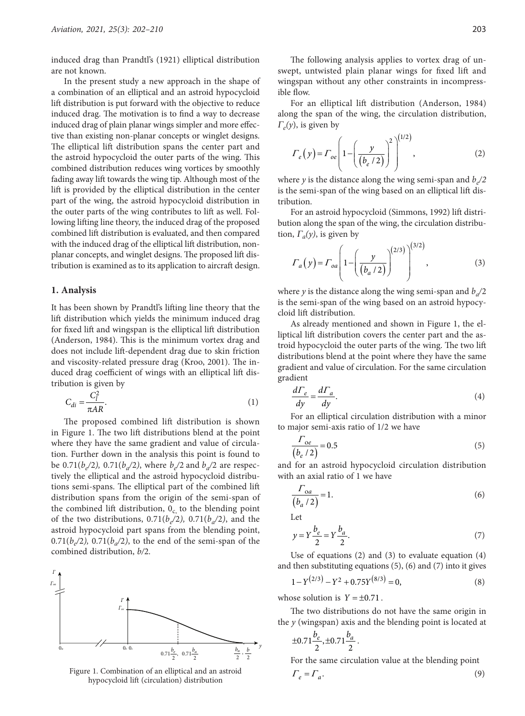induced drag than Prandtl's (1921) elliptical distribution are not known.

In the present study a new approach in the shape of a combination of an elliptical and an astroid hypocycloid lift distribution is put forward with the objective to reduce induced drag. The motivation is to find a way to decrease induced drag of plain planar wings simpler and more effective than existing non-planar concepts or winglet designs. The elliptical lift distribution spans the center part and the astroid hypocycloid the outer parts of the wing. This combined distribution reduces wing vortices by smoothly fading away lift towards the wing tip. Although most of the lift is provided by the elliptical distribution in the center part of the wing, the astroid hypocycloid distribution in the outer parts of the wing contributes to lift as well. Following lifting line theory, the induced drag of the proposed combined lift distribution is evaluated, and then compared with the induced drag of the elliptical lift distribution, nonplanar concepts, and winglet designs. The proposed lift distribution is examined as to its application to aircraft design.

#### **1. Analysis**

It has been shown by Prandtl's lifting line theory that the lift distribution which yields the minimum induced drag for fixed lift and wingspan is the elliptical lift distribution (Anderson, 1984). This is the minimum vortex drag and does not include lift-dependent drag due to skin friction and viscosity-related pressure drag (Kroo, 2001). The induced drag coefficient of wings with an elliptical lift distribution is given by

$$
C_{di} = \frac{C_l^2}{\pi AR}.\tag{1}
$$

The proposed combined lift distribution is shown in Figure 1. The two lift distributions blend at the point where they have the same gradient and value of circulation. Further down in the analysis this point is found to be 0.71( $b_e/2$ ), 0.71( $b_a/2$ ), where  $b_e/2$  and  $b_a/2$  are respectively the elliptical and the astroid hypocycloid distributions semi-spans. The elliptical part of the combined lift distribution spans from the origin of the semi-span of the combined lift distribution,  $0_c$  to the blending point of the two distributions,  $0.71(b_e/2)$ ,  $0.71(b_a/2)$ , and the astroid hypocycloid part spans from the blending point,  $0.71(b_2/2)$ ,  $0.71(b_2/2)$ , to the end of the semi-span of the combined distribution, *b/*2*.*



Figure 1. Combination of an elliptical and an astroid  $\Gamma_e = \Gamma_a$ . (9) hypocycloid lift (circulation) distribution

The following analysis applies to vortex drag of unswept, untwisted plain planar wings for fixed lift and wingspan without any other constraints in incompressible flow.

For an elliptical lift distribution (Anderson, 1984) along the span of the wing, the circulation distribution, <sup>Γ</sup>*e(y*), is given by

$$
\Gamma_e(y) = \Gamma_{oe} \left( 1 - \left( \frac{y}{(b_e / 2)} \right)^2 \right)^{(1/2)},
$$
\n(2)

where *y* is the distance along the wing semi-span and  $b/2$ is the semi-span of the wing based on an elliptical lift distribution.

For an astroid hypocycloid (Simmons, 1992) lift distribution along the span of the wing, the circulation distribution,  $\Gamma_a(y)$ , is given by

$$
\Gamma_a(y) = \Gamma_{oa} \left( 1 - \left( \frac{y}{(b_a/2)} \right)^{(2/3)} \right)^{(3/2)},
$$
\n(3)

where *y* is the distance along the wing semi-span and  $b_a/2$ is the semi-span of the wing based on an astroid hypocycloid lift distribution.

As already mentioned and shown in Figure 1, the elliptical lift distribution covers the center part and the astroid hypocycloid the outer parts of the wing. The two lift distributions blend at the point where they have the same gradient and value of circulation. For the same circulation gradient

$$
\frac{d\Gamma_e}{dy} = \frac{d\Gamma_a}{dy}.\tag{4}
$$

For an elliptical circulation distribution with a minor to major semi-axis ratio of 1/2 we have

$$
\frac{\Gamma_{oe}}{(b_e / 2)} = 0.5\tag{5}
$$

and for an astroid hypocycloid circulation distribution with an axial ratio of 1 we have

$$
\frac{\Gamma_{oa}}{\left(b_a / 2\right)} = 1. \tag{6}
$$

Let

$$
y = Y \frac{b_e}{2} = Y \frac{b_a}{2}.\tag{7}
$$

Use of equations (2) and (3) to evaluate equation (4) and then substituting equations (5), (6) and (7) into it gives

$$
1 - Y^{(2/3)} - Y^2 + 0.75Y^{(8/3)} = 0,
$$
\n(8)

whose solution is  $Y = \pm 0.71$ .

The two distributions do not have the same origin in the *y* (wingspan) axis and the blending point is located at

$$
\pm 0.71 \frac{b_e}{2}, \pm 0.71 \frac{b_a}{2}.
$$

For the same circulation value at the blending point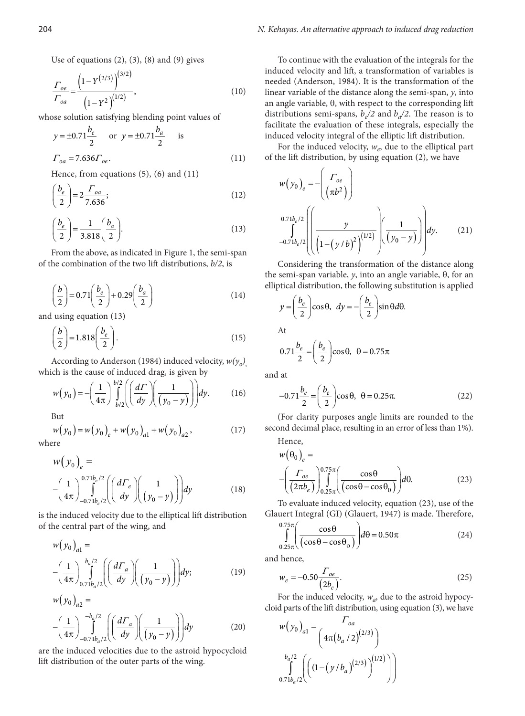Use of equations  $(2)$ ,  $(3)$ ,  $(8)$  and  $(9)$  gives

$$
\frac{\Gamma_{oe}}{\Gamma_{oa}} = \frac{\left(1 - Y^{(2/3)}\right)^{(3/2)}}{\left(1 - Y^2\right)^{(1/2)}},\tag{10}
$$

whose solution satisfying blending point values of

$$
y = \pm 0.71 \frac{b_e}{2}
$$
 or  $y = \pm 0.71 \frac{b_a}{2}$  is  
 $\Gamma_{oa} = 7.636 \Gamma_{oe}$ . (11)

Hence, from equations (5), (6) and (11)

$$
\left(\frac{b_e}{2}\right) = 2 \frac{\Gamma_{oa}}{7.636};\tag{12}
$$

$$
\left(\frac{b_e}{2}\right) = \frac{1}{3.818} \left(\frac{b_a}{2}\right).
$$
\n(13)

From the above, as indicated in Figure 1, the semi-span of the combination of the two lift distributions, *b/2*, is

$$
\left(\frac{b}{2}\right) = 0.71 \left(\frac{b_e}{2}\right) + 0.29 \left(\frac{b_a}{2}\right)
$$
\n(14)

and using equation (13)

$$
\left(\frac{b}{2}\right) = 1.818 \left(\frac{b_e}{2}\right). \tag{15}
$$

According to Anderson (1984) induced velocity,  $w(y_0)$ which is the cause of induced drag, is given by

$$
w(y_0) = -\left(\frac{1}{4\pi}\right) \int_{-b/2}^{b/2} \left( \left(\frac{d\Gamma}{dy}\right) \left(\frac{1}{(y_0 - y)}\right) \right) dy.
$$
 (16)

But

$$
w(y_0) = w(y_0)_e + w(y_0)_{a1} + w(y_0)_{a2},
$$
 where (17)

$$
w(y_0)_e =
$$
  
 
$$
-\left(\frac{1}{4\pi}\right)_{-0.71b_e/2}^{0.71b_e/2} \left( \left(\frac{d\Gamma_e}{dy}\right) \left(\frac{1}{y_0-y}\right) \right) dy
$$
 (18)

is the induced velocity due to the elliptical lift distribution of the central part of the wing, and

$$
w(y_0)_{a1} =
$$
  
 
$$
-\left(\frac{1}{4\pi}\right)_{0.71b_a/2}^{b_a/2} \left( \left(\frac{d\Gamma_a}{dy}\right) \left(\frac{1}{(y_0 - y)}\right) \right) dy;
$$
 (19)  
 
$$
w(y_0)_{a2} =
$$

$$
-\left(\frac{1}{4\pi}\right)\int_{-0.71b_a/2}^{-b_a/2} \left(\left(\frac{d\Gamma_a}{dy}\right)\left(\frac{1}{y_0-y}\right)\right) dy\tag{20}
$$

are the induced velocities due to the astroid hypocycloid lift distribution of the outer parts of the wing.

To continue with the evaluation of the integrals for the induced velocity and lift, a transformation of variables is needed (Anderson, 1984). It is the transformation of the linear variable of the distance along the semi-span, *y*, into an angle variable, θ, with respect to the corresponding lift distributions semi-spans,  $b_e/2$  and  $b_a/2$ . The reason is to facilitate the evaluation of these integrals, especially the induced velocity integral of the elliptic lift distribution.

For the induced velocity,  $w_e$ , due to the elliptical part of the lift distribution, by using equation (2), we have

$$
w(y_0)_{e} = -\left(\frac{\Gamma_{oe}}{(\pi b^2)}\right)
$$
  

$$
\int_{-0.71b_e/2}^{0.71b_e/2} \left( \left(\frac{y}{\left(1 - (y/b)^2\right)^{(1/2)}}\right) \left(\frac{1}{(y_0 - y)}\right) dy.
$$
 (21)

Considering the transformation of the distance along the semi-span variable, *y*, into an angle variable, θ, for an elliptical distribution, the following substitution is applied

$$
y = \left(\frac{b_e}{2}\right)\cos\theta, \ \ dy = -\left(\frac{b_e}{2}\right)\sin\theta d\theta.
$$

At

$$
0.71\frac{b_e}{2} = \left(\frac{b_e}{2}\right)\cos\theta, \ \theta = 0.75\pi
$$

and at

$$
-0.71\frac{b_e}{2} = \left(\frac{b_e}{2}\right)\cos\theta, \ \theta = 0.25\pi. \tag{22}
$$

(For clarity purposes angle limits are rounded to the second decimal place, resulting in an error of less than 1%).  $H$ <sub>once</sub>

$$
w(\theta_0)_e =
$$
  
 
$$
- \left(\frac{\Gamma_{oe}}{(2\pi b_e)}\right)_{0.25\pi}^{0.75\pi} \left(\frac{\cos\theta}{(\cos\theta - \cos\theta_0)}\right) d\theta.
$$
 (23)

To evaluate induced velocity, equation (23), use of the Glauert Integral (GI) (Glauert, 1947) is made. Therefore,

$$
\int_{0.25\pi}^{0.75\pi} \left( \frac{\cos\theta}{(\cos\theta - \cos\theta_0)} \right) d\theta = 0.50\pi
$$
 (24)

and hence,

$$
w_e = -0.50 \frac{\Gamma_{oe}}{(2b_e)}.\t(25)
$$

For the induced velocity,  $w_a$ , due to the astroid hypocycloid parts of the lift distribution, using equation (3), we have

$$
w(y_0)_{a1} = \frac{\Gamma_{oa}}{\left(4\pi(b_a/2)^{(2/3)}\right)}
$$

$$
\int_{0.71b_a/2}^{b_a/2} \left(\left((1-(y/b_a)^{(2/3)}\right)^{(1/2)})\right)
$$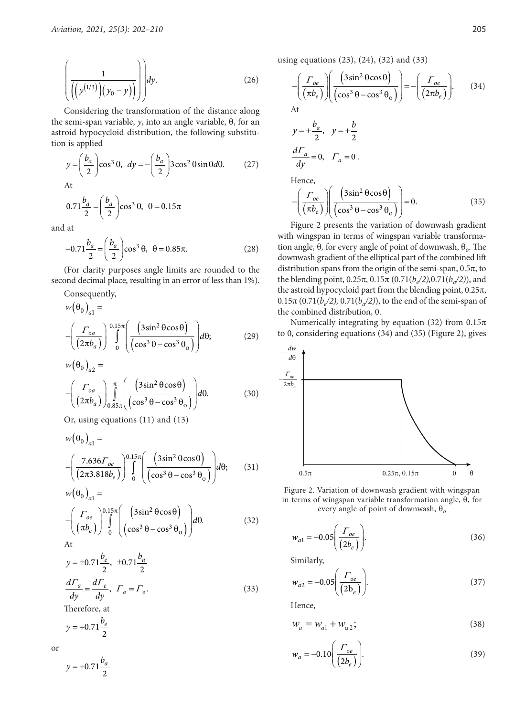$$
\left(\frac{1}{\left(\left(y^{(1/3)}\right)(y_0-y)\right)}\right) dy.
$$
\n(26)

Considering the transformation of the distance along the semi-span variable, *y*, into an angle variable, θ, for an astroid hypocycloid distribution, the following substitution is applied

$$
y = \left(\frac{b_a}{2}\right)\cos^3\theta, \ dy = -\left(\frac{b_a}{2}\right)3\cos^2\theta\sin\theta d\theta. \tag{27}
$$
  
At  

$$
0.71\frac{b_a}{2} = \left(\frac{b_a}{2}\right)\cos^3\theta, \ \theta = 0.15\pi
$$

and at

$$
-0.71 \frac{b_a}{2} = \left(\frac{b_a}{2}\right) \cos^3 \theta, \ \theta = 0.85\pi.
$$
 (28)

(For clarity purposes angle limits are rounded to the second decimal place, resulting in an error of less than 1%).

Consequently,

$$
w(\theta_0)_{a1} =
$$
  
 
$$
-\left(\frac{\Gamma_{oa}}{(2\pi b_a)}\right)^{0.15\pi} \left(\frac{(3\sin^2\theta\cos\theta)}{(\cos^3\theta - \cos^3\theta_o)}\right) d\theta;
$$
 (29)

$$
w(\theta_0)_{a2} =
$$
  
 
$$
- \left( \frac{\Gamma_{oa}}{(2\pi b_a)} \right)_{0.85\pi}^{\pi} \left( \frac{(3\sin^2\theta\cos\theta)}{(\cos^3\theta - \cos^3\theta_o)} \right) d\theta.
$$
 (30)

Or, using equations (11) and (13)

$$
w(\theta_0)_{a1} =
$$
  
 
$$
- \left( \frac{7.636 \Gamma_{oe}}{(2\pi 3.818b_e)} \right)^{0.15\pi} \left( \frac{(3\sin^2 \theta \cos \theta)}{(\cos^3 \theta - \cos^3 \theta_o)} \right) d\theta; \qquad (31)
$$
  
 
$$
w(\theta_0)_{a1} =
$$

$$
-\left(\frac{\Gamma_{oe}}{(\pi b_e)}\right) \int_{0}^{0.15\pi} \left(\frac{\left(3\sin^2\theta\cos\theta\right)}{\left(\cos^3\theta - \cos^3\theta_o\right)}\right) d\theta. \tag{32}
$$

$$
y = \pm 0.71 \frac{b_e}{2}, \ \pm 0.71 \frac{b_a}{2}
$$

$$
\frac{d\Gamma_a}{dy} = \frac{d\Gamma_e}{dy}, \ \Gamma_a = \Gamma_e.
$$
 (33)

Therefore, at

$$
y = +0.71 \frac{b_e}{2}
$$

or

 $\frac{0.71 - 6}{2}$  $y = +0.71 \frac{b_a}{a}$  using equations (23), (24), (32) and (33)

$$
-\left(\frac{\Gamma_{oe}}{(\pi b_e)}\right)\left(\frac{\left(3\sin^2\theta\cos\theta\right)}{\left(\cos^3\theta-\cos^3\theta_o\right)}\right) = -\left(\frac{\Gamma_{oe}}{\left(2\pi b_e\right)}\right).
$$
 (34)

$$
y = +\frac{b_a}{2}, \quad y = +\frac{b}{2}
$$
  

$$
\frac{d\Gamma_a}{dy} = 0, \quad \Gamma_a = 0.
$$
  
Hence,

 $H$ 

$$
-\left(\frac{\Gamma_{oe}}{(\pi b_e)}\right)\left(\frac{(3\sin^2\theta\cos\theta)}{(\cos^3\theta-\cos^3\theta_o)}\right)=0.
$$
 (35)

Figure 2 presents the variation of downwash gradient with wingspan in terms of wingspan variable transformation angle, θ*,* for every angle of point of downwash, θ*ο*. The downwash gradient of the elliptical part of the combined lift distribution spans from the origin of the semi-span,  $0.5\pi$ , to the blending point,  $0.25\pi$ ,  $0.15\pi$   $(0.71(b_{e}/2), 0.71(b_{a}/2))$ , and the astroid hypocycloid part from the blending point,  $0.25\pi$ ,  $0.15\pi$  (0.71(*b<sub>e</sub>*/2), 0.71(*b<sub>a</sub>*/2)), to the end of the semi-span of the combined distribution, 0.

Numerically integrating by equation (32) from  $0.15\pi$ to 0, considering equations (34) and (35) (Figure 2), gives



Figure 2. Variation of downwash gradient with wingspan in terms of wingspan variable transformation angle, θ, for every angle of point of downwash, θ*<sup>ο</sup>*

$$
w_{a1} = -0.05 \left( \frac{\Gamma_{oe}}{(2b_e)} \right).
$$
 (36)

Similarly,

$$
w_{a2} = -0.05 \left( \frac{\Gamma_{oe}}{(2b_e)} \right). \tag{37}
$$

Hence,

$$
W_a = W_{a1} + W_{a2};\tag{38}
$$

$$
w_a = -0.10 \left( \frac{\Gamma_{oe}}{(2b_e)} \right). \tag{39}
$$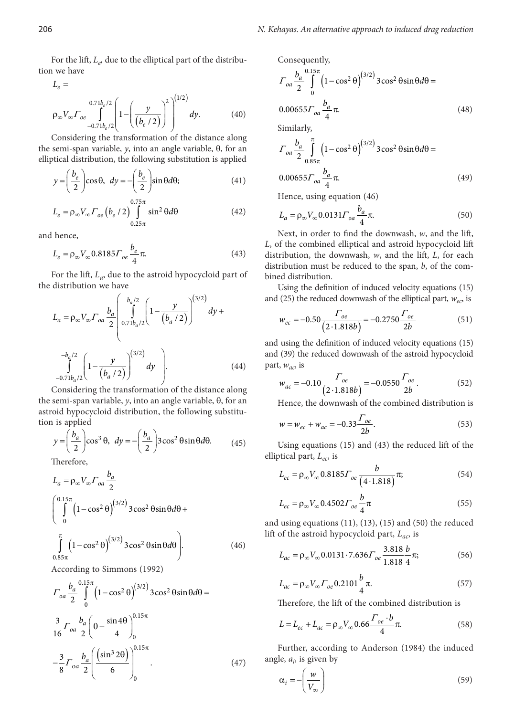For the lift,  $L_e$ , due to the elliptical part of the distribution we have

$$
L_e =
$$
  
\n
$$
\rho_{\infty} V_{\infty} \Gamma_{oe} \int_{-0.71b_e/2}^{0.71b_e/2} \left( 1 - \left( \frac{y}{(b_e/2)} \right)^2 \right)^{(1/2)} dy.
$$
 (40)

Considering the transformation of the distance along the semi-span variable, *y*, into an angle variable, θ, for an elliptical distribution, the following substitution is applied

$$
y = \left(\frac{b_e}{2}\right)\cos\theta, \ dy = -\left(\frac{b_e}{2}\right)\sin\theta d\theta; \tag{41}
$$

$$
L_e = \rho_\infty V_\infty \Gamma_{oe} \left( b_e / 2 \right) \int_{0.25\pi}^{0.75\pi} \sin^2 \theta d\theta \tag{42}
$$

and hence,

$$
L_e = \rho_\infty V_\infty 0.8185 \Gamma_{oe} \frac{b_e}{4} \pi.
$$
 (43)

For the lift, *La*, due to the astroid hypocycloid part of the distribution we have

$$
L_{a} = \rho_{\infty} V_{\infty} \Gamma_{oa} \frac{b_{a}}{2} \left( \int_{0.71b_{a}/2}^{b_{a}/2} \left( 1 - \frac{y}{(b_{a}/2)} \right)^{(3/2)} dy + \int_{-0.71b_{a}/2}^{-b_{a}/2} \left( 1 - \frac{y}{(b_{a}/2)} \right)^{(3/2)} dy \right).
$$
 (44)

Considering the transformation of the distance along the semi-span variable, *y*, into an angle variable, θ, for an astroid hypocycloid distribution, the following substitution is applied

$$
y = \left(\frac{b_a}{2}\right)\cos^3\theta, \ dy = -\left(\frac{b_a}{2}\right)3\cos^2\theta\sin\theta d\theta. \tag{45}
$$

Therefore,

 $0.85\pi$ 

$$
L_a = \rho_\infty V_\infty \Gamma_{oa} \frac{b_a}{2}
$$
  

$$
\left(\int_0^{0.15\pi} \left(1 - \cos^2 \theta\right)^{(3/2)} 3 \cos^2 \theta \sin \theta d\theta + \int_0^{\pi} \left(1 - \cos^2 \theta\right)^{(3/2)} 3 \cos^2 \theta \sin \theta d\theta\right).
$$
 (46)

According to Simmons (1992)

$$
\Gamma_{oa} \frac{b_a}{2} \int_{0}^{0.15\pi} \left(1 - \cos^2 \theta\right)^{(3/2)} 3 \cos^2 \theta \sin \theta d\theta =
$$
  

$$
\frac{3}{16} \Gamma_{oa} \frac{b_a}{2} \left(\theta - \frac{\sin 4\theta}{4}\right)_0^{0.15\pi}
$$
  

$$
-\frac{3}{8} \Gamma_{oa} \frac{b_a}{2} \left(\frac{\left(\sin^3 2\theta\right)}{6}\right)_0^{0.15\pi}
$$
 (47)

Consequently,

$$
\Gamma_{oa} \frac{b_a}{2} \int_{0}^{0.15\pi} \left(1 - \cos^2 \theta\right)^{(3/2)} 3 \cos^2 \theta \sin \theta d\theta =
$$
  
0.00655 $\Gamma_{oa} \frac{b_a}{4} \pi$ . (48)

Similarly,

$$
\Gamma_{oa} \frac{b_a}{2} \int_{0.85\pi}^{\pi} \left(1 - \cos^2 \theta\right)^{(3/2)} 3 \cos^2 \theta \sin \theta d\theta =
$$
  
0.00655 $\Gamma_{oa} \frac{b_a}{4} \pi$ . (49)

Hence, using equation (46)

$$
L_a = \rho_\infty V_\infty 0.0131 \Gamma_{oa} \frac{b_a}{4} \pi.
$$
 (50)

Next, in order to find the downwash, *w*, and the lift, *L*, of the combined elliptical and astroid hypocycloid lift distribution, the downwash, *w*, and the lift, *L*, for each distribution must be reduced to the span, *b*, of the combined distribution.

Using the definition of induced velocity equations (15) and (25) the reduced downwash of the elliptical part,  $w_{ec}$ , is

$$
w_{ec} = -0.50 \frac{\Gamma_{oe}}{(2 \cdot 1.818b)} = -0.2750 \frac{\Gamma_{oe}}{2b}
$$
 (51)

and using the definition of induced velocity equations (15) and (39) the reduced downwash of the astroid hypocycloid part, *wac*, is

$$
w_{ac} = -0.10 \frac{\Gamma_{oe}}{(2.1.818b)} = -0.0550 \frac{\Gamma_{oe}}{2b}.
$$
 (52)

Hence, the downwash of the combined distribution is

$$
w = w_{ec} + w_{ac} = -0.33 \frac{\Gamma_{oe}}{2b}.
$$
 (53)

Using equations (15) and (43) the reduced lift of the elliptical part, *Lec*, is

$$
L_{ec} = \rho_{\infty} V_{\infty} 0.8185 \Gamma_{oe} \frac{b}{(4 \cdot 1.818)} \pi;
$$
 (54)

$$
L_{ec} = \rho_{\infty} V_{\infty} 0.4502 \Gamma_{oe} \frac{b}{4} \pi
$$
\n(55)

and using equations (11), (13), (15) and (50) the reduced lift of the astroid hypocycloid part, *Lac*, is

$$
L_{ac} = \rho_{\infty} V_{\infty} 0.0131 \cdot 7.636 \Gamma_{oe} \frac{3.818 \ b}{1.818 \ 4} \pi;
$$
 (56)

$$
L_{ac} = \rho_{\infty} V_{\infty} \Gamma_{oe} 0.2101 \frac{b}{4} \pi.
$$
 (57)

Therefore, the lift of the combined distribution is

$$
L = L_{ec} + L_{ac} = \rho_{\infty} V_{\infty} 0.66 \frac{\Gamma_{oe} \cdot b}{4} \pi.
$$
 (58)

Further, according to Anderson (1984) the induced angle,  $a_i$ , is given by

$$
\alpha_i = -\left(\frac{w}{V_{\infty}}\right) \tag{59}
$$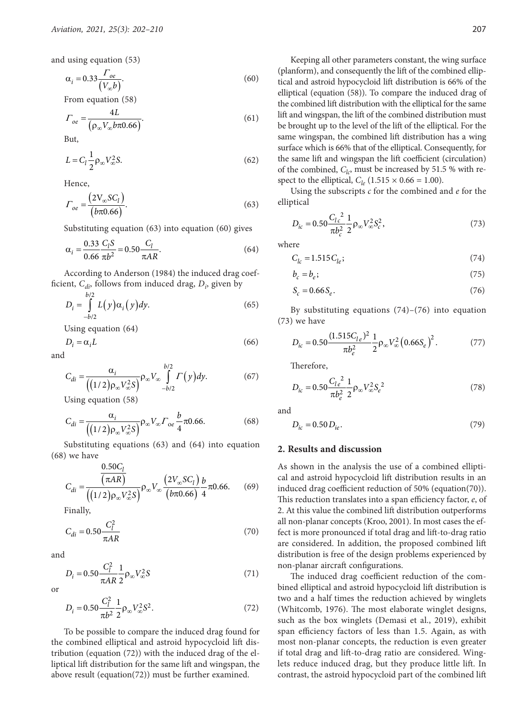and using equation (53)

$$
\alpha_i = 0.33 \frac{\Gamma_{oe}}{(V_{\infty} b)}.\tag{60}
$$

From equation (58)

$$
\Gamma_{oe} = \frac{4L}{\left(\rho_{\infty} V_{\infty} b \pi 0.66\right)}.
$$
\n(61)

But,

$$
L = C_l \frac{1}{2} \rho_\infty V_\infty^2 S. \tag{62}
$$

Hence,

$$
\Gamma_{oe} = \frac{\left(2V_{\infty}SC_l\right)}{\left(b\pi 0.66\right)}.\tag{63}
$$

Substituting equation (63) into equation (60) gives

$$
\alpha_i = \frac{0.33 \ C_l S}{0.66 \ \pi b^2} = 0.50 \frac{C_l}{\pi AR}.
$$
\n(64)

According to Anderson (1984) the induced drag coefficient, *C<sub>di</sub>*, follows from induced drag, *D<sub>i</sub>*, given by

$$
D_i = \int_{-b/2}^{b/2} L(y) \alpha_i(y) dy.
$$
 (65)

Using equation (64)

$$
D_i = \alpha_i L \tag{66}
$$

and

$$
C_{di} = \frac{\alpha_i}{\left( (1/2)\rho_\infty V_\infty^2 S \right)} \rho_\infty V_\infty \int\limits_{-b/2}^{b/2} \Gamma(y) dy. \tag{67}
$$

Using equation (58)

$$
C_{di} = \frac{\alpha_i}{\left( (1/2)\rho_\infty V_\infty^2 S \right)} \rho_\infty V_\infty \Gamma_{oe} \frac{b}{4} \pi 0.66. \tag{68}
$$

Substituting equations (63) and (64) into equation (68) we have

$$
C_{di} = \frac{\frac{0.50C_l}{(\pi AR)}}{\left( (1/2)\rho_\infty V_\infty^2 S \right)} \rho_\infty V_\infty \frac{\left( 2V_\infty S C_l \right) b}{\left( b\pi 0.66 \right)} \frac{b}{4} \pi 0.66. \tag{69}
$$

Finally,

$$
C_{di} = 0.50 \frac{C_l^2}{\pi AR}
$$
 (70)

and

$$
D_i = 0.50 \frac{C_l^2}{\pi AR} \frac{1}{2} \rho_\infty V_\infty^2 S
$$
 (71)

or

$$
D_i = 0.50 \frac{C_l^2}{\pi b^2} \frac{1}{2} \rho_\infty V_\infty^2 S^2.
$$
 (72)

To be possible to compare the induced drag found for the combined elliptical and astroid hypocycloid lift distribution (equation (72)) with the induced drag of the elliptical lift distribution for the same lift and wingspan, the above result (equation(72)) must be further examined.

Keeping all other parameters constant, the wing surface (planform), and consequently the lift of the combined elliptical and astroid hypocycloid lift distribution is 66% of the elliptical (equation (58)). To compare the induced drag of the combined lift distribution with the elliptical for the same lift and wingspan, the lift of the combined distribution must be brought up to the level of the lift of the elliptical. For the same wingspan, the combined lift distribution has a wing surface which is 66% that of the elliptical. Consequently, for the same lift and wingspan the lift coefficient (circulation) of the combined,  $C_{lc}$ , must be increased by 51.5 % with respect to the elliptical,  $C_{le}$  (1.515  $\times$  0.66 = 1.00).

Using the subscripts *c* for the combined and *e* for the elliptical

$$
D_{ic} = 0.50 \frac{C_{lc}^2}{\pi b_c^2} \frac{1}{2} \rho_{\infty} V_{\infty}^2 S_c^2,
$$
 (73)

where

$$
C_{lc} = 1.515 C_{le};\t\t(74)
$$

$$
b_c = b_e; \t\t(75)
$$

$$
S_c = 0.66 S_e. \tag{76}
$$

By substituting equations  $(74)-(76)$  into equation (73) we have

$$
D_{ic} = 0.50 \frac{(1.515C_{1e})^2}{\pi b_e^2} \frac{1}{2} \rho_\infty V_\infty^2 (0.66S_e)^2.
$$
 (77)

Therefore,

$$
D_{ic} = 0.50 \frac{C_{le}^2}{\pi b_e^2} \frac{1}{2} \rho_\infty V_\infty^2 S_e^2
$$
 (78)

and

$$
D_{ic} = 0.50 D_{ie}.
$$
\n(79)

# **2. Results and discussion**

As shown in the analysis the use of a combined elliptical and astroid hypocycloid lift distribution results in an induced drag coefficient reduction of 50% (equation(70)). This reduction translates into a span efficiency factor, *e*, of 2. At this value the combined lift distribution outperforms all non-planar concepts (Kroo, 2001). In most cases the effect is more pronounced if total drag and lift-to-drag ratio are considered. In addition, the proposed combined lift distribution is free of the design problems experienced by non-planar aircraft configurations.

The induced drag coefficient reduction of the combined elliptical and astroid hypocycloid lift distribution is two and a half times the reduction achieved by winglets (Whitcomb, 1976). The most elaborate winglet designs, such as the box winglets (Demasi et al., 2019), exhibit span efficiency factors of less than 1.5. Again, as with most non-planar concepts, the reduction is even greater if total drag and lift-to-drag ratio are considered. Winglets reduce induced drag, but they produce little lift. In contrast, the astroid hypocycloid part of the combined lift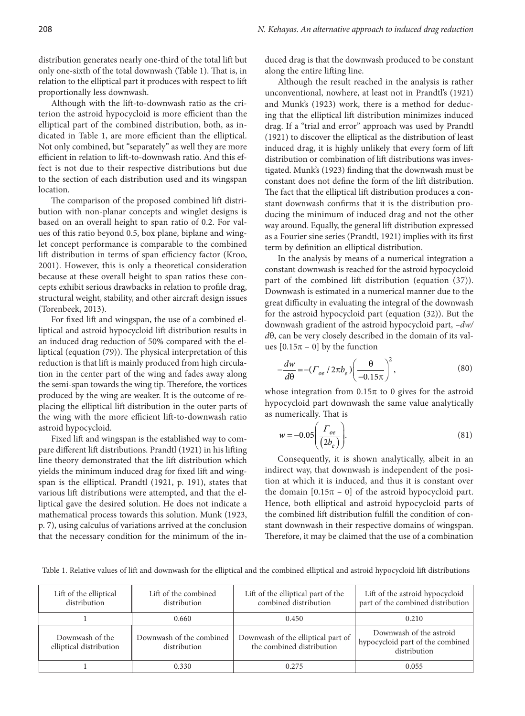distribution generates nearly one-third of the total lift but only one-sixth of the total downwash (Table 1). That is, in relation to the elliptical part it produces with respect to lift proportionally less downwash.

Although with the lift-to-downwash ratio as the criterion the astroid hypocycloid is more efficient than the elliptical part of the combined distribution, both, as indicated in Table 1, are more efficient than the elliptical. Not only combined, but "separately" as well they are more efficient in relation to lift-to-downwash ratio. And this effect is not due to their respective distributions but due to the section of each distribution used and its wingspan location.

The comparison of the proposed combined lift distribution with non-planar concepts and winglet designs is based on an overall height to span ratio of 0.2. For values of this ratio beyond 0.5, box plane, biplane and winglet concept performance is comparable to the combined lift distribution in terms of span efficiency factor (Kroo, 2001). However, this is only a theoretical consideration because at these overall height to span ratios these concepts exhibit serious drawbacks in relation to profile drag, structural weight, stability, and other aircraft design issues (Torenbeek, 2013).

For fixed lift and wingspan, the use of a combined elliptical and astroid hypocycloid lift distribution results in an induced drag reduction of 50% compared with the elliptical (equation (79)). The physical interpretation of this reduction is that lift is mainly produced from high circulation in the center part of the wing and fades away along the semi-span towards the wing tip. Therefore, the vortices produced by the wing are weaker. It is the outcome of replacing the elliptical lift distribution in the outer parts of the wing with the more efficient lift-to-downwash ratio astroid hypocycloid.

Fixed lift and wingspan is the established way to compare different lift distributions. Prandtl (1921) in his lifting line theory demonstrated that the lift distribution which yields the minimum induced drag for fixed lift and wingspan is the elliptical. Prandtl (1921, p. 191), states that various lift distributions were attempted, and that the elliptical gave the desired solution. He does not indicate a mathematical process towards this solution. Munk (1923, p. 7), using calculus of variations arrived at the conclusion that the necessary condition for the minimum of the induced drag is that the downwash produced to be constant along the entire lifting line.

Although the result reached in the analysis is rather unconventional, nowhere, at least not in Prandtl's (1921) and Munk's (1923) work, there is a method for deducing that the elliptical lift distribution minimizes induced drag. If a "trial and error" approach was used by Prandtl (1921) to discover the elliptical as the distribution of least induced drag, it is highly unlikely that every form of lift distribution or combination of lift distributions was investigated. Munk's (1923) finding that the downwash must be constant does not define the form of the lift distribution. The fact that the elliptical lift distribution produces a constant downwash confirms that it is the distribution producing the minimum of induced drag and not the other way around. Equally, the general lift distribution expressed as a Fourier sine series (Prandtl, 1921) implies with its first term by definition an elliptical distribution.

In the analysis by means of a numerical integration a constant downwash is reached for the astroid hypocycloid part of the combined lift distribution (equation (37)). Downwash is estimated in a numerical manner due to the great difficulty in evaluating the integral of the downwash for the astroid hypocycloid part (equation (32)). But the downwash gradient of the astroid hypocycloid part, *–dw/ d*θ, can be very closely described in the domain of its values  $[0.15\pi - 0]$  by the function

$$
-\frac{dw}{d\theta} = -(T_{oe} / 2\pi b_e) \left(\frac{\theta}{-0.15\pi}\right)^2,
$$
\n(80)

whose integration from  $0.15\pi$  to 0 gives for the astroid hypocycloid part downwash the same value analytically as numerically. That is

$$
w = -0.05 \left( \frac{\Gamma_{oe}}{(2b_e)} \right). \tag{81}
$$

Consequently, it is shown analytically, albeit in an indirect way, that downwash is independent of the position at which it is induced, and thus it is constant over the domain  $[0.15\pi - 0]$  of the astroid hypocycloid part. Hence, both elliptical and astroid hypocycloid parts of the combined lift distribution fulfill the condition of constant downwash in their respective domains of wingspan. Therefore, it may be claimed that the use of a combination

Table 1. Relative values of lift and downwash for the elliptical and the combined elliptical and astroid hypocycloid lift distributions

| Lift of the elliptical<br>distribution     | Lift of the combined<br>distribution     | Lift of the elliptical part of the<br>combined distribution     | Lift of the astroid hypocycloid<br>part of the combined distribution        |
|--------------------------------------------|------------------------------------------|-----------------------------------------------------------------|-----------------------------------------------------------------------------|
|                                            | 0.660                                    | 0.450                                                           | 0.210                                                                       |
| Downwash of the<br>elliptical distribution | Downwash of the combined<br>distribution | Downwash of the elliptical part of<br>the combined distribution | Downwash of the astroid<br>hypocycloid part of the combined<br>distribution |
|                                            | 0.330                                    | 0.275                                                           | 0.055                                                                       |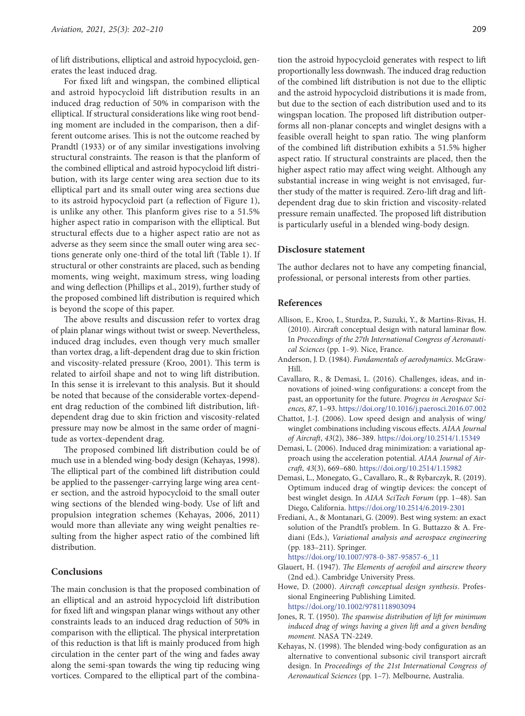of lift distributions, elliptical and astroid hypocycloid, generates the least induced drag.

For fixed lift and wingspan, the combined elliptical and astroid hypocycloid lift distribution results in an induced drag reduction of 50% in comparison with the elliptical. If structural considerations like wing root bending moment are included in the comparison, then a different outcome arises. This is not the outcome reached by Prandtl (1933) or of any similar investigations involving structural constraints. The reason is that the planform of the combined elliptical and astroid hypocycloid lift distribution, with its large center wing area section due to its elliptical part and its small outer wing area sections due to its astroid hypocycloid part (a reflection of Figure 1), is unlike any other. This planform gives rise to a 51.5% higher aspect ratio in comparison with the elliptical. But structural effects due to a higher aspect ratio are not as adverse as they seem since the small outer wing area sections generate only one-third of the total lift (Table 1). If structural or other constraints are placed, such as bending moments, wing weight, maximum stress, wing loading and wing deflection (Phillips et al., 2019), further study of the proposed combined lift distribution is required which is beyond the scope of this paper.

The above results and discussion refer to vortex drag of plain planar wings without twist or sweep. Nevertheless, induced drag includes, even though very much smaller than vortex drag, a lift-dependent drag due to skin friction and viscosity-related pressure (Kroo, 2001). This term is related to airfoil shape and not to wing lift distribution. In this sense it is irrelevant to this analysis. But it should be noted that because of the considerable vortex-dependent drag reduction of the combined lift distribution, liftdependent drag due to skin friction and viscosity-related pressure may now be almost in the same order of magnitude as vortex-dependent drag.

The proposed combined lift distribution could be of much use in a blended wing-body design (Kehayas, 1998). The elliptical part of the combined lift distribution could be applied to the passenger-carrying large wing area center section, and the astroid hypocycloid to the small outer wing sections of the blended wing-body. Use of lift and propulsion integration schemes (Kehayas, 2006, 2011) would more than alleviate any wing weight penalties resulting from the higher aspect ratio of the combined lift distribution.

## **Conclusions**

The main conclusion is that the proposed combination of an elliptical and an astroid hypocycloid lift distribution for fixed lift and wingspan planar wings without any other constraints leads to an induced drag reduction of 50% in comparison with the elliptical. The physical interpretation of this reduction is that lift is mainly produced from high circulation in the center part of the wing and fades away along the semi-span towards the wing tip reducing wing vortices. Compared to the elliptical part of the combination the astroid hypocycloid generates with respect to lift proportionally less downwash. The induced drag reduction of the combined lift distribution is not due to the elliptic and the astroid hypocycloid distributions it is made from, but due to the section of each distribution used and to its wingspan location. The proposed lift distribution outperforms all non-planar concepts and winglet designs with a feasible overall height to span ratio. The wing planform of the combined lift distribution exhibits a 51.5% higher aspect ratio. If structural constraints are placed, then the higher aspect ratio may affect wing weight. Although any substantial increase in wing weight is not envisaged, further study of the matter is required. Zero-lift drag and liftdependent drag due to skin friction and viscosity-related pressure remain unaffected. The proposed lift distribution is particularly useful in a blended wing-body design.

#### **Disclosure statement**

The author declares not to have any competing financial, professional, or personal interests from other parties.

## **References**

- Allison, E., Kroo, I., Sturdza, P., Suzuki, Y., & Martins-Rivas, H. (2010). Aircraft conceptual design with natural laminar flow. In *Proceedings of the 27th International Congress of Aeronautical Sciences* (pp. 1–9). Nice, France.
- Anderson, J. D. (1984). *Fundamentals of aerodynamics*. McGraw-Hill.
- Cavallaro, R., & Demasi, L. (2016). Challenges, ideas, and innovations of joined-wing configurations: a concept from the past, an opportunity for the future. *Progress in Aerospace Sciences, 87*, 1–93.<https://doi.org/10.1016/j.paerosci.2016.07.002>
- Chattot, J.-J. (2006). Low speed design and analysis of wing/ winglet combinations including viscous effects. *AIAA Journal of Aircraft*, *43*(2), 386–389. <https://doi.org/10.2514/1.15349>
- Demasi, L. (2006). Induced drag minimization: a variational approach using the acceleration potential. *AIAA Journal of Aircraft, 43*(3), 669–680. <https://doi.org/10.2514/1.15982>
- Demasi, L., Monegato, G., Cavallaro, R., & Rybarczyk, R. (2019). Optimum induced drag of wingtip devices: the concept of best winglet design. In *AIAA SciTech Forum* (pp. 1–48). San Diego, California. <https://doi.org/10.2514/6.2019-2301>
- Frediani, A., & Montanari, G. (2009). Best wing system: an exact solution of the Prandtl's problem. In G. Buttazzo & A. Frediani (Eds.), *Variational analysis and aerospace engineering* (pp. 183–211). Springer.

[https://doi.org/10.1007/978-0-387-95857-6\\_11](https://doi.org/10.1007/978-0-387-95857-6_11)

- Glauert, H. (1947). *The Elements of aerofoil and airscrew theory*  (2nd ed.). Cambridge University Press.
- Howe, D. (2000). *Aircraft conceptual design synthesis*. Professional Engineering Publishing Limited. <https://doi.org/10.1002/9781118903094>
- Jones, R. T. (1950). *The spanwise distribution of lift for minimum induced drag of wings having a given lift and a given bending moment.* NASA TN-2249.
- Kehayas, N. (1998). The blended wing-body configuration as an alternative to conventional subsonic civil transport aircraft design. In *Proceedings of the 21st International Congress of Aeronautical Sciences* (pp. 1–7). Melbourne, Australia.